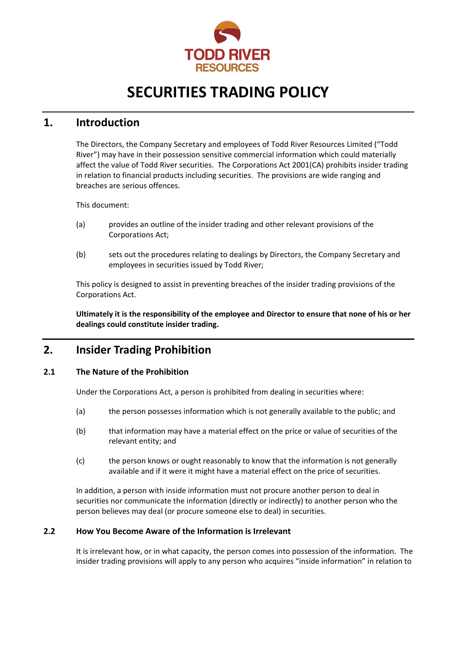

# **SECURITIES TRADING POLICY**

### **1. Introduction**

The Directors, the Company Secretary and employees of Todd River Resources Limited ("Todd River") may have in their possession sensitive commercial information which could materially affect the value of Todd River securities. The Corporations Act 2001(CA) prohibits insider trading in relation to financial products including securities. The provisions are wide ranging and breaches are serious offences.

This document:

- (a) provides an outline of the insider trading and other relevant provisions of the Corporations Act;
- (b) sets out the procedures relating to dealings by Directors, the Company Secretary and employees in securities issued by Todd River;

This policy is designed to assist in preventing breaches of the insider trading provisions of the Corporations Act.

**Ultimately it is the responsibility of the employee and Director to ensure that none of his or her dealings could constitute insider trading.**

### **2. Insider Trading Prohibition**

#### **2.1 The Nature of the Prohibition**

Under the Corporations Act, a person is prohibited from dealing in securities where:

- (a) the person possesses information which is not generally available to the public; and
- (b) that information may have a material effect on the price or value of securities of the relevant entity; and
- (c) the person knows or ought reasonably to know that the information is not generally available and if it were it might have a material effect on the price of securities.

In addition, a person with inside information must not procure another person to deal in securities nor communicate the information (directly or indirectly) to another person who the person believes may deal (or procure someone else to deal) in securities.

#### **2.2 How You Become Aware of the Information is Irrelevant**

It is irrelevant how, or in what capacity, the person comes into possession of the information. The insider trading provisions will apply to any person who acquires "inside information" in relation to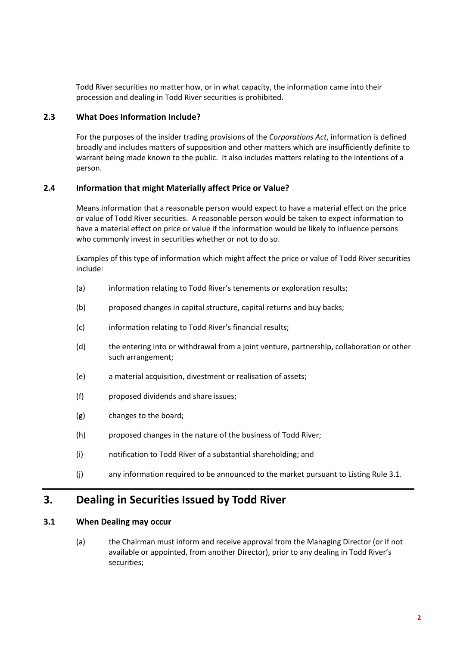Todd River securities no matter how, or in what capacity, the information came into their procession and dealing in Todd River securities is prohibited.

#### **2.3 What Does Information Include?**

For the purposes of the insider trading provisions of the *Corporations Act*, information is defined broadly and includes matters of supposition and other matters which are insufficiently definite to warrant being made known to the public. It also includes matters relating to the intentions of a person.

#### **2.4 Information that might Materially affect Price or Value?**

Means information that a reasonable person would expect to have a material effect on the price or value of Todd River securities. A reasonable person would be taken to expect information to have a material effect on price or value if the information would be likely to influence persons who commonly invest in securities whether or not to do so.

Examples of this type of information which might affect the price or value of Todd River securities include:

- (a) information relating to Todd River's tenements or exploration results;
- (b) proposed changes in capital structure, capital returns and buy backs;
- (c) information relating to Todd River's financial results;
- (d) the entering into or withdrawal from a joint venture, partnership, collaboration or other such arrangement;
- (e) a material acquisition, divestment or realisation of assets;
- (f) proposed dividends and share issues;
- (g) changes to the board;
- (h) proposed changes in the nature of the business of Todd River;
- (i) notification to Todd River of a substantial shareholding; and
- (j) any information required to be announced to the market pursuant to Listing Rule 3.1.

### **3. Dealing in Securities Issued by Todd River**

#### **3.1 When Dealing may occur**

(a) the Chairman must inform and receive approval from the Managing Director (or if not available or appointed, from another Director), prior to any dealing in Todd River's securities;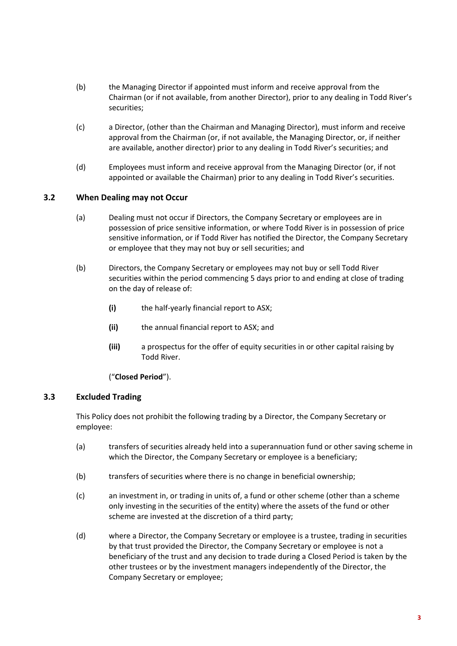- (b) the Managing Director if appointed must inform and receive approval from the Chairman (or if not available, from another Director), prior to any dealing in Todd River's securities;
- (c) a Director, (other than the Chairman and Managing Director), must inform and receive approval from the Chairman (or, if not available, the Managing Director, or, if neither are available, another director) prior to any dealing in Todd River's securities; and
- (d) Employees must inform and receive approval from the Managing Director (or, if not appointed or available the Chairman) prior to any dealing in Todd River's securities.

#### **3.2 When Dealing may not Occur**

- (a) Dealing must not occur if Directors, the Company Secretary or employees are in possession of price sensitive information, or where Todd River is in possession of price sensitive information, or if Todd River has notified the Director, the Company Secretary or employee that they may not buy or sell securities; and
- (b) Directors, the Company Secretary or employees may not buy or sell Todd River securities within the period commencing 5 days prior to and ending at close of trading on the day of release of:
	- **(i)** the half-yearly financial report to ASX;
	- **(ii)** the annual financial report to ASX; and
	- **(iii)** a prospectus for the offer of equity securities in or other capital raising by Todd River.

("**Closed Period**").

#### **3.3 Excluded Trading**

This Policy does not prohibit the following trading by a Director, the Company Secretary or employee:

- (a) transfers of securities already held into a superannuation fund or other saving scheme in which the Director, the Company Secretary or employee is a beneficiary;
- (b) transfers of securities where there is no change in beneficial ownership;
- (c) an investment in, or trading in units of, a fund or other scheme (other than a scheme only investing in the securities of the entity) where the assets of the fund or other scheme are invested at the discretion of a third party;
- (d) where a Director, the Company Secretary or employee is a trustee, trading in securities by that trust provided the Director, the Company Secretary or employee is not a beneficiary of the trust and any decision to trade during a Closed Period is taken by the other trustees or by the investment managers independently of the Director, the Company Secretary or employee;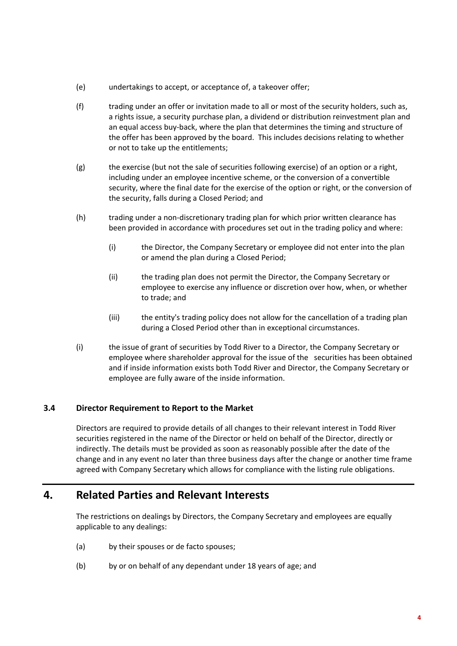- (e) undertakings to accept, or acceptance of, a takeover offer;
- (f) trading under an offer or invitation made to all or most of the security holders, such as, a rights issue, a security purchase plan, a dividend or distribution reinvestment plan and an equal access buy-back, where the plan that determines the timing and structure of the offer has been approved by the board. This includes decisions relating to whether or not to take up the entitlements;
- (g) the exercise (but not the sale of securities following exercise) of an option or a right, including under an employee incentive scheme, or the conversion of a convertible security, where the final date for the exercise of the option or right, or the conversion of the security, falls during a Closed Period; and
- (h) trading under a non-discretionary trading plan for which prior written clearance has been provided in accordance with procedures set out in the trading policy and where:
	- (i) the Director, the Company Secretary or employee did not enter into the plan or amend the plan during a Closed Period;
	- (ii) the trading plan does not permit the Director, the Company Secretary or employee to exercise any influence or discretion over how, when, or whether to trade; and
	- (iii) the entity's trading policy does not allow for the cancellation of a trading plan during a Closed Period other than in exceptional circumstances.
- (i) the issue of grant of securities by Todd River to a Director, the Company Secretary or employee where shareholder approval for the issue of the securities has been obtained and if inside information exists both Todd River and Director, the Company Secretary or employee are fully aware of the inside information.

#### **3.4 Director Requirement to Report to the Market**

Directors are required to provide details of all changes to their relevant interest in Todd River securities registered in the name of the Director or held on behalf of the Director, directly or indirectly. The details must be provided as soon as reasonably possible after the date of the change and in any event no later than three business days after the change or another time frame agreed with Company Secretary which allows for compliance with the listing rule obligations.

### **4. Related Parties and Relevant Interests**

The restrictions on dealings by Directors, the Company Secretary and employees are equally applicable to any dealings:

- (a) by their spouses or de facto spouses;
- (b) by or on behalf of any dependant under 18 years of age; and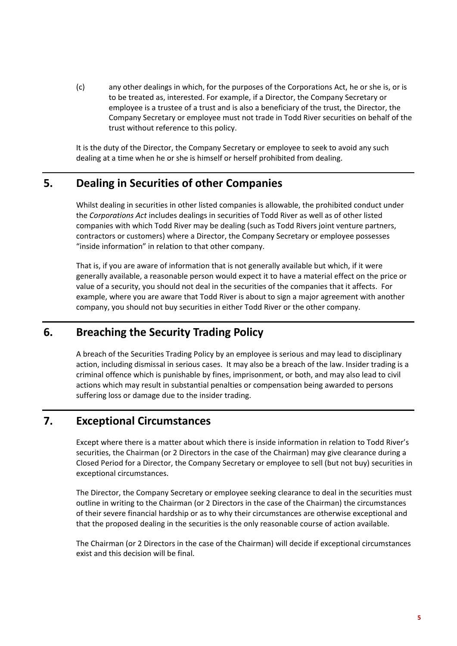(c) any other dealings in which, for the purposes of the Corporations Act, he or she is, or is to be treated as, interested. For example, if a Director, the Company Secretary or employee is a trustee of a trust and is also a beneficiary of the trust, the Director, the Company Secretary or employee must not trade in Todd River securities on behalf of the trust without reference to this policy.

It is the duty of the Director, the Company Secretary or employee to seek to avoid any such dealing at a time when he or she is himself or herself prohibited from dealing.

### **5. Dealing in Securities of other Companies**

Whilst dealing in securities in other listed companies is allowable, the prohibited conduct under the *Corporations Act* includes dealings in securities of Todd River as well as of other listed companies with which Todd River may be dealing (such as Todd Rivers joint venture partners, contractors or customers) where a Director, the Company Secretary or employee possesses "inside information" in relation to that other company.

That is, if you are aware of information that is not generally available but which, if it were generally available, a reasonable person would expect it to have a material effect on the price or value of a security, you should not deal in the securities of the companies that it affects. For example, where you are aware that Todd River is about to sign a major agreement with another company, you should not buy securities in either Todd River or the other company.

### **6. Breaching the Security Trading Policy**

A breach of the Securities Trading Policy by an employee is serious and may lead to disciplinary action, including dismissal in serious cases. It may also be a breach of the law. Insider trading is a criminal offence which is punishable by fines, imprisonment, or both, and may also lead to civil actions which may result in substantial penalties or compensation being awarded to persons suffering loss or damage due to the insider trading.

# **7. Exceptional Circumstances**

Except where there is a matter about which there is inside information in relation to Todd River's securities, the Chairman (or 2 Directors in the case of the Chairman) may give clearance during a Closed Period for a Director, the Company Secretary or employee to sell (but not buy) securities in exceptional circumstances.

The Director, the Company Secretary or employee seeking clearance to deal in the securities must outline in writing to the Chairman (or 2 Directors in the case of the Chairman) the circumstances of their severe financial hardship or as to why their circumstances are otherwise exceptional and that the proposed dealing in the securities is the only reasonable course of action available.

The Chairman (or 2 Directors in the case of the Chairman) will decide if exceptional circumstances exist and this decision will be final.